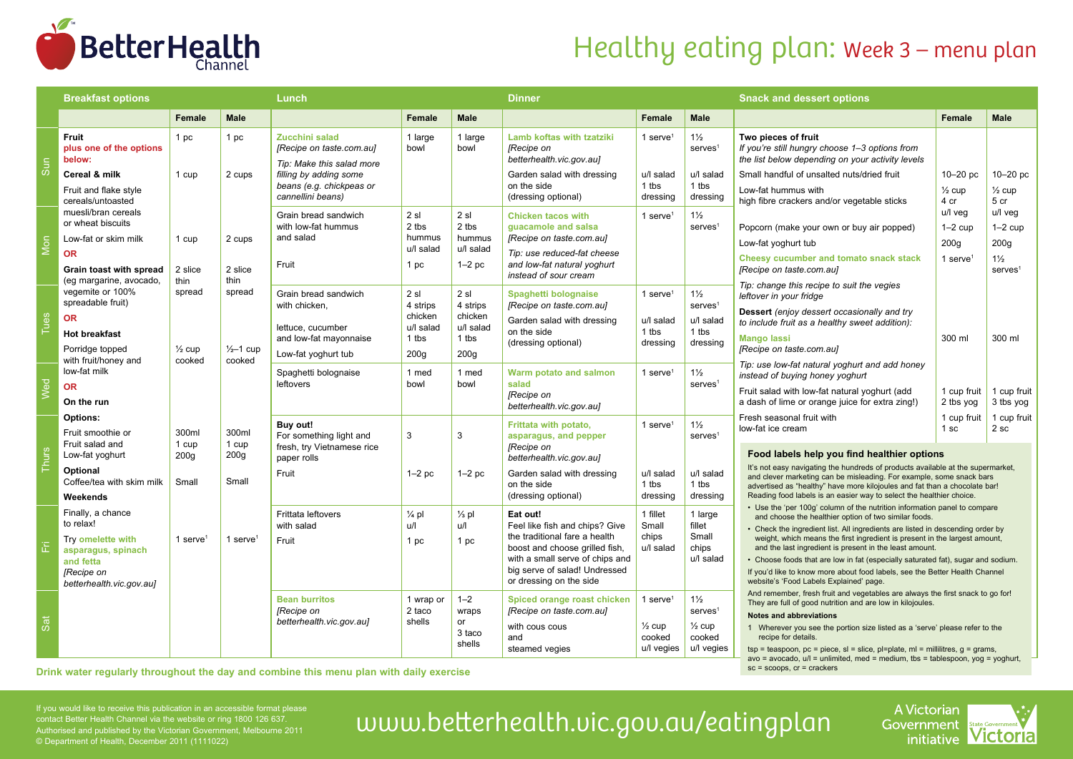

## Healthy eating plan: Week 3 – menu plan

sc = scoops, cr = crackers

|              | <b>Breakfast options</b>                                                                              |                             | Lunch                          |                                                                         |                                      | <b>Dinner</b>                            |                                                                                                                                                                                                              |                                         | <b>Snack and dessert options</b>                                           |                                                                                                                                                                                                                                       |                                                                             |                                       |  |
|--------------|-------------------------------------------------------------------------------------------------------|-----------------------------|--------------------------------|-------------------------------------------------------------------------|--------------------------------------|------------------------------------------|--------------------------------------------------------------------------------------------------------------------------------------------------------------------------------------------------------------|-----------------------------------------|----------------------------------------------------------------------------|---------------------------------------------------------------------------------------------------------------------------------------------------------------------------------------------------------------------------------------|-----------------------------------------------------------------------------|---------------------------------------|--|
|              |                                                                                                       | <b>Female</b>               | <b>Male</b>                    |                                                                         | <b>Female</b>                        | Male                                     |                                                                                                                                                                                                              | Female                                  | <b>Male</b>                                                                |                                                                                                                                                                                                                                       | Female                                                                      | <b>Male</b>                           |  |
| Sun          | <b>Fruit</b><br>plus one of the options<br>below:                                                     | 1 pc                        | 1 pc                           | Zucchini salad<br>[Recipe on taste.com.au]<br>Tip: Make this salad more | 1 large<br>bowl                      | 1 large<br>bowl                          | Lamb koftas with tzatziki<br><b>IRecipe on</b><br>betterhealth.vic.gov.aul                                                                                                                                   | 1 serve $1$                             | $1\frac{1}{2}$<br>$s$ erves <sup>1</sup>                                   | Two pieces of fruit<br>If you're still hungry choose 1-3 options from<br>the list below depending on your activity levels                                                                                                             |                                                                             |                                       |  |
|              | Cereal & milk                                                                                         | 1 cup                       | 2 cups                         | filling by adding some                                                  |                                      |                                          | Garden salad with dressing                                                                                                                                                                                   | u/l salad                               | u/l salad<br>1 tbs                                                         | Small handful of unsalted nuts/dried fruit                                                                                                                                                                                            | $10-20$ pc                                                                  | $10 - 20$ pc                          |  |
|              | Fruit and flake style<br>cereals/untoasted<br>muesli/bran cereals                                     |                             |                                | beans (e.g. chickpeas or<br>cannellini beans)                           | 2 s1                                 | 2 s1                                     | on the side<br>(dressing optional)                                                                                                                                                                           | 1 tbs<br>dressing<br>1 serve $1$        | dressing                                                                   | Low-fat hummus with<br>high fibre crackers and/or vegetable sticks                                                                                                                                                                    | $\frac{1}{2}$ cup<br>4 cr<br>u/l veg                                        | $\frac{1}{2}$ cup<br>5 cr<br>u/l veg  |  |
| Mon          | or wheat biscuits                                                                                     | 1 cup<br>2 slice            | 2 cups<br>2 slice<br>thin      | Grain bread sandwich<br>with low-fat hummus                             | 2 tbs<br>hummus<br>u/l salad<br>1 pc | 2 tbs<br>hummus<br>u/l salad<br>$1-2$ pc | <b>Chicken tacos with</b><br>quacamole and salsa<br>[Recipe on taste.com.au]<br>Tip: use reduced-fat cheese<br>and low-fat natural yoghurt<br>instead of sour cream                                          |                                         | $1\frac{1}{2}$<br>serves <sup>1</sup>                                      | Popcorn (make your own or buy air popped)                                                                                                                                                                                             | $1-2$ cup                                                                   | $1-2$ cup                             |  |
|              | Low-fat or skim milk                                                                                  |                             |                                | and salad<br>Fruit                                                      |                                      |                                          |                                                                                                                                                                                                              |                                         |                                                                            | Low-fat yoghurt tub                                                                                                                                                                                                                   | 200q                                                                        | 200q                                  |  |
|              | <b>OR</b><br>Grain toast with spread                                                                  |                             |                                |                                                                         |                                      |                                          |                                                                                                                                                                                                              |                                         |                                                                            | Cheesy cucumber and tomato snack stack<br>[Recipe on taste.com.au]                                                                                                                                                                    | 1 serve $1$                                                                 | $1\frac{1}{2}$<br>serves <sup>1</sup> |  |
| <b>Tues</b>  | (eg margarine, avocado,<br>vegemite or 100%<br>spreadable fruit)                                      | thin<br>spread              | spread                         | Grain bread sandwich<br>with chicken,                                   | 2 s1<br>4 strips                     | 2 s1<br>4 strips                         | Spaghetti bolognaise<br>[Recipe on taste.com.au]                                                                                                                                                             | 1 serve <sup>1</sup>                    | $1\frac{1}{2}$<br>$s$ erves <sup>1</sup><br>u/l salad<br>1 tbs<br>dressing | Tip: change this recipe to suit the vegies<br>leftover in your fridge                                                                                                                                                                 |                                                                             |                                       |  |
|              | <b>OR</b>                                                                                             |                             |                                | lettuce, cucumber                                                       | chicken<br>u/l salad                 | chicken<br>u/l salad                     | Garden salad with dressing<br>on the side<br>(dressing optional)                                                                                                                                             | u/l salad<br>1 tbs<br>dressing          |                                                                            | Dessert (enjoy dessert occasionally and try<br>to include fruit as a healthy sweet addition):                                                                                                                                         |                                                                             |                                       |  |
|              | <b>Hot breakfast</b>                                                                                  |                             |                                | and low-fat mayonnaise                                                  | 1 tbs                                | 1 tbs                                    |                                                                                                                                                                                                              |                                         |                                                                            | <b>Mango lassi</b>                                                                                                                                                                                                                    | 300 ml                                                                      | 300 ml                                |  |
|              | Porridge topped<br>with fruit/honey and                                                               | $\frac{1}{2}$ cup<br>cooked | $\frac{1}{2}$ -1 cup<br>cooked | Low-fat yoghurt tub                                                     | 200q                                 | 200 <sub>g</sub>                         |                                                                                                                                                                                                              |                                         |                                                                            | [Recipe on taste.com.au]<br>Tip: use low-fat natural yoghurt and add honey                                                                                                                                                            |                                                                             |                                       |  |
|              | low-fat milk                                                                                          |                             |                                | Spaghetti bolognaise<br>leftovers                                       | 1 med<br>bowl                        | 1 med<br>bowl                            | Warm potato and salmon<br>salad<br>[Recipe on<br>betterhealth.vic.gov.aul                                                                                                                                    | 1 serve $1$                             | $1\frac{1}{2}$<br>$s$ erves <sup>1</sup>                                   | instead of buying honey yoghurt                                                                                                                                                                                                       |                                                                             |                                       |  |
| Wed          | <b>OR</b><br>On the run                                                                               |                             |                                |                                                                         |                                      |                                          |                                                                                                                                                                                                              |                                         |                                                                            | Fruit salad with low-fat natural yoghurt (add<br>a dash of lime or orange juice for extra zing!)                                                                                                                                      | 1 cup fruit<br>2 tbs yog                                                    | 1 cup fruit<br>3 tbs yog              |  |
| <b>Thurs</b> | <b>Options:</b><br>Fruit smoothie or                                                                  | 300ml                       | 300ml                          | Buy out!<br>For something light and                                     | 3                                    | 3                                        | Frittata with potato,<br>asparagus, and pepper                                                                                                                                                               | 1 serve <sup>1</sup>                    | $1\frac{1}{2}$<br>$s$ erves <sup>1</sup>                                   | Fresh seasonal fruit with<br>low-fat ice cream                                                                                                                                                                                        | 1 cup fruit<br>1 <sub>sc</sub>                                              | 1 cup fruit<br>2 <sub>sc</sub>        |  |
|              | Fruit salad and<br>Low-fat yoghurt                                                                    | 1 cup<br>200 <sub>g</sub>   | 1 cup<br>200 <sub>g</sub>      | fresh, try Vietnamese rice<br>paper rolls                               |                                      |                                          | [Recipe on<br>betterhealth.vic.gov.aul                                                                                                                                                                       |                                         |                                                                            | Food labels help you find healthier options                                                                                                                                                                                           |                                                                             |                                       |  |
|              | Optional<br>Coffee/tea with skim milk                                                                 | Small                       | Small                          | Fruit                                                                   | $1-2$ pc                             | $1-2$ pc                                 | Garden salad with dressing<br>on the side                                                                                                                                                                    | u/l salad<br>1 tbs                      | u/l salad<br>1 tbs                                                         | It's not easy navigating the hundreds of products available at the supermarket,<br>and clever marketing can be misleading. For example, some snack bars<br>advertised as "healthy" have more kilojoules and fat than a chocolate bar! |                                                                             |                                       |  |
|              | Weekends                                                                                              |                             |                                |                                                                         |                                      |                                          | (dressing optional)                                                                                                                                                                                          | dressing                                | dressing                                                                   | Reading food labels is an easier way to select the healthier choice.<br>• Use the 'per 100g' column of the nutrition information panel to compare                                                                                     |                                                                             |                                       |  |
| 旧            | Finally, a chance<br>to relax!                                                                        | 1 serve <sup>1</sup>        | 1 serve $1$                    | <b>Frittata leftovers</b><br>with salad                                 | $\frac{1}{4}$ pl<br>u/l              | $\frac{1}{3}$ pl<br>u/l                  | Eat out!<br>Feel like fish and chips? Give<br>the traditional fare a health<br>boost and choose grilled fish,<br>with a small serve of chips and<br>big serve of salad! Undressed<br>or dressing on the side | 1 fillet<br>Small<br>chips<br>u/l salad | 1 large<br>fillet<br>Small<br>chips<br>u/l salad                           | and choose the healthier option of two similar foods.<br>• Check the ingredient list. All ingredients are listed in descending order by                                                                                               |                                                                             |                                       |  |
|              | Try omelette with<br>asparagus, spinach<br>and fetta<br><b>[Recipe on</b><br>betterhealth.vic.gov.au] |                             |                                | Fruit                                                                   | 1 pc                                 | 1 pc                                     |                                                                                                                                                                                                              |                                         |                                                                            | weight, which means the first ingredient is present in the largest amount,<br>and the last ingredient is present in the least amount.                                                                                                 |                                                                             |                                       |  |
|              |                                                                                                       |                             |                                |                                                                         |                                      |                                          |                                                                                                                                                                                                              |                                         |                                                                            | • Choose foods that are low in fat (especially saturated fat), sugar and sodium.<br>If you'd like to know more about food labels, see the Better Health Channel<br>website's 'Food Labels Explained' page.                            |                                                                             |                                       |  |
| Sat          |                                                                                                       |                             |                                | <b>Bean burritos</b><br>[Recipe on<br>betterhealth.vic.gov.aul          | 1 wrap or<br>2 taco<br>shells        | $1 - 2$<br>wraps                         | Spiced orange roast chicken<br>[Recipe on taste.com.au]                                                                                                                                                      | 1 serve <sup><math>1</math></sup>       | $1\frac{1}{2}$<br>$s$ erves <sup>1</sup>                                   | And remember, fresh fruit and vegetables are always the first snack to go for!<br>They are full of good nutrition and are low in kilojoules.                                                                                          |                                                                             |                                       |  |
|              |                                                                                                       |                             |                                |                                                                         |                                      | or                                       | with cous cous                                                                                                                                                                                               | $\frac{1}{2}$ cup                       | $\frac{1}{2}$ cup                                                          | <b>Notes and abbreviations</b>                                                                                                                                                                                                        | 1 Wherever you see the portion size listed as a 'serve' please refer to the |                                       |  |
|              |                                                                                                       |                             |                                |                                                                         |                                      | 3 taco<br>shells                         | and<br>steamed vegies                                                                                                                                                                                        | cooked<br>u/l vegies                    | cooked<br>u/l vegies                                                       | recipe for details.<br>$tsp = teaspoon$ , $pc = piece$ , $sl = slice$ , $pl = plate$ , $ml = millilitres$ , $g = grams$ ,<br>avo = avocado, $u/l$ = unlimited, med = medium, tbs = tablespoon, yog = yoghurt,                         |                                                                             |                                       |  |

**Drink water regularly throughout the day and combine this menu plan with daily exercise**

contact Better Health Channel via the website or ring 1800 126 637. Authorised and published by the Victorian Government, Melbourne 2011 © Department of Health, December 2011 (1111022)

# If you would like to receive this publication in an accessible format please<br>Contact Better Health Channel via the website or ring 1800 126 637.<br>Authorised and published by the Victorian Government, Melbourne 2011 UWW.bett